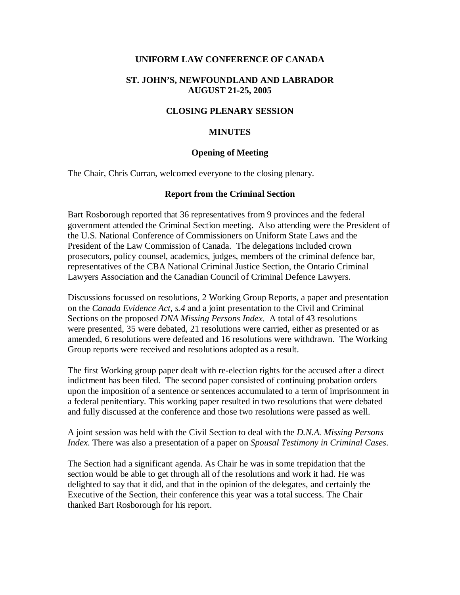#### **UNIFORM LAW CONFERENCE OF CANADA**

#### **ST. JOHN'S, NEWFOUNDLAND AND LABRADOR AUGUST 21-25, 2005**

#### **CLOSING PLENARY SESSION**

#### **MINUTES**

#### **Opening of Meeting**

The Chair, Chris Curran, welcomed everyone to the closing plenary.

#### **Report from the Criminal Section**

Bart Rosborough reported that 36 representatives from 9 provinces and the federal government attended the Criminal Section meeting. Also attending were the President of the U.S. National Conference of Commissioners on Uniform State Laws and the President of the Law Commission of Canada. The delegations included crown prosecutors, policy counsel, academics, judges, members of the criminal defence bar, representatives of the CBA National Criminal Justice Section, the Ontario Criminal Lawyers Association and the Canadian Council of Criminal Defence Lawyers.

Discussions focussed on resolutions, 2 Working Group Reports, a paper and presentation on the *Canada Evidence Act, s.4* and a joint presentation to the Civil and Criminal Sections on the proposed *DNA Missing Persons Index*. A total of 43 resolutions were presented, 35 were debated, 21 resolutions were carried, either as presented or as amended, 6 resolutions were defeated and 16 resolutions were withdrawn. The Working Group reports were received and resolutions adopted as a result.

The first Working group paper dealt with re-election rights for the accused after a direct indictment has been filed. The second paper consisted of continuing probation orders upon the imposition of a sentence or sentences accumulated to a term of imprisonment in a federal penitentiary. This working paper resulted in two resolutions that were debated and fully discussed at the conference and those two resolutions were passed as well.

A joint session was held with the Civil Section to deal with the *D.N.A. Missing Persons Index*. There was also a presentation of a paper on *Spousal Testimony in Criminal Cases*.

The Section had a significant agenda. As Chair he was in some trepidation that the section would be able to get through all of the resolutions and work it had. He was delighted to say that it did, and that in the opinion of the delegates, and certainly the Executive of the Section, their conference this year was a total success. The Chair thanked Bart Rosborough for his report.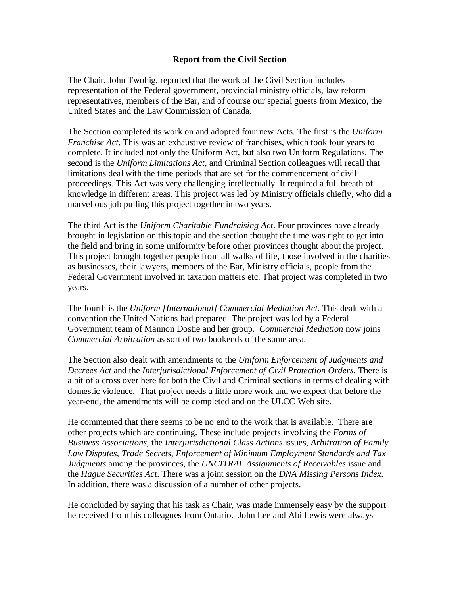## **Report from the Civil Section**

The Chair, John Twohig, reported that the work of the Civil Section includes representation of the Federal government, provincial ministry officials, law reform representatives, members of the Bar, and of course our special guests from Mexico, the United States and the Law Commission of Canada.

The Section completed its work on and adopted four new Acts. The first is the *Uniform Franchise Act*. This was an exhaustive review of franchises, which took four years to complete. It included not only the Uniform Act, but also two Uniform Regulations. The second is the *Uniform Limitations Act*, and Criminal Section colleagues will recall that limitations deal with the time periods that are set for the commencement of civil proceedings. This Act was very challenging intellectually. It required a full breath of knowledge in different areas. This project was led by Ministry officials chiefly, who did a marvellous job pulling this project together in two years.

The third Act is the *Uniform Charitable Fundraising Act*. Four provinces have already brought in legislation on this topic and the section thought the time was right to get into the field and bring in some uniformity before other provinces thought about the project. This project brought together people from all walks of life, those involved in the charities as businesses, their lawyers, members of the Bar, Ministry officials, people from the Federal Government involved in taxation matters etc. That project was completed in two years.

The fourth is the *Uniform [International] Commercial Mediation Act*. This dealt with a convention the United Nations had prepared. The project was led by a Federal Government team of Mannon Dostie and her group. *Commercial Mediation* now joins *Commercial Arbitration* as sort of two bookends of the same area.

The Section also dealt with amendments to the *Uniform Enforcement of Judgments and Decrees Act* and the *Interjurisdictional Enforcement of Civil Protection Orders*. There is a bit of a cross over here for both the Civil and Criminal sections in terms of dealing with domestic violence. That project needs a little more work and we expect that before the year-end, the amendments will be completed and on the ULCC Web site.

He commented that there seems to be no end to the work that is available. There are other projects which are continuing. These include projects involving the *Forms of Business Associations*, the *Interjurisdictional Class Actions* issues, *Arbitration of Family Law Disputes*, *Trade Secrets*, *Enforcement of Minimum Employment Standards and Tax Judgments* among the provinces, the *UNCITRAL Assignments of Receivables* issue and the *Hague Securities Act*. There was a joint session on the *DNA Missing Persons Index*. In addition, there was a discussion of a number of other projects.

He concluded by saying that his task as Chair, was made immensely easy by the support he received from his colleagues from Ontario. John Lee and Abi Lewis were always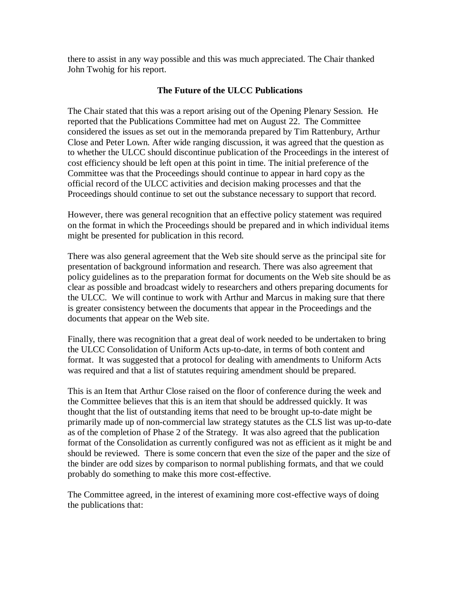there to assist in any way possible and this was much appreciated. The Chair thanked John Twohig for his report.

# **The Future of the ULCC Publications**

The Chair stated that this was a report arising out of the Opening Plenary Session. He reported that the Publications Committee had met on August 22. The Committee considered the issues as set out in the memoranda prepared by Tim Rattenbury, Arthur Close and Peter Lown. After wide ranging discussion, it was agreed that the question as to whether the ULCC should discontinue publication of the Proceedings in the interest of cost efficiency should be left open at this point in time. The initial preference of the Committee was that the Proceedings should continue to appear in hard copy as the official record of the ULCC activities and decision making processes and that the Proceedings should continue to set out the substance necessary to support that record.

However, there was general recognition that an effective policy statement was required on the format in which the Proceedings should be prepared and in which individual items might be presented for publication in this record.

There was also general agreement that the Web site should serve as the principal site for presentation of background information and research. There was also agreement that policy guidelines as to the preparation format for documents on the Web site should be as clear as possible and broadcast widely to researchers and others preparing documents for the ULCC. We will continue to work with Arthur and Marcus in making sure that there is greater consistency between the documents that appear in the Proceedings and the documents that appear on the Web site.

Finally, there was recognition that a great deal of work needed to be undertaken to bring the ULCC Consolidation of Uniform Acts up-to-date, in terms of both content and format. It was suggested that a protocol for dealing with amendments to Uniform Acts was required and that a list of statutes requiring amendment should be prepared.

This is an Item that Arthur Close raised on the floor of conference during the week and the Committee believes that this is an item that should be addressed quickly. It was thought that the list of outstanding items that need to be brought up-to-date might be primarily made up of non-commercial law strategy statutes as the CLS list was up-to-date as of the completion of Phase 2 of the Strategy. It was also agreed that the publication format of the Consolidation as currently configured was not as efficient as it might be and should be reviewed. There is some concern that even the size of the paper and the size of the binder are odd sizes by comparison to normal publishing formats, and that we could probably do something to make this more cost-effective.

The Committee agreed, in the interest of examining more cost-effective ways of doing the publications that: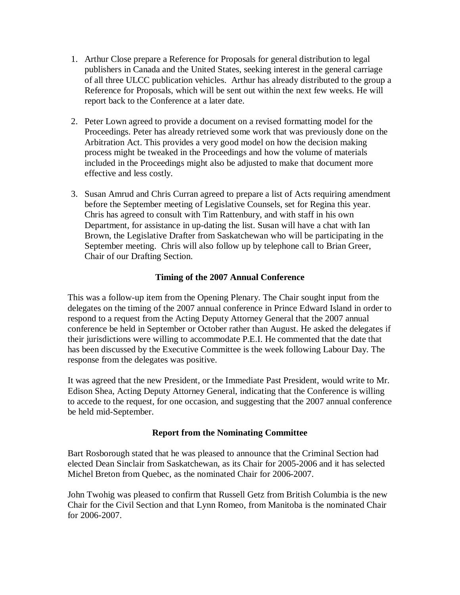- 1. Arthur Close prepare a Reference for Proposals for general distribution to legal publishers in Canada and the United States, seeking interest in the general carriage of all three ULCC publication vehicles. Arthur has already distributed to the group a Reference for Proposals, which will be sent out within the next few weeks. He will report back to the Conference at a later date.
- 2. Peter Lown agreed to provide a document on a revised formatting model for the Proceedings. Peter has already retrieved some work that was previously done on the Arbitration Act. This provides a very good model on how the decision making process might be tweaked in the Proceedings and how the volume of materials included in the Proceedings might also be adjusted to make that document more effective and less costly.
- 3. Susan Amrud and Chris Curran agreed to prepare a list of Acts requiring amendment before the September meeting of Legislative Counsels, set for Regina this year. Chris has agreed to consult with Tim Rattenbury, and with staff in his own Department, for assistance in up-dating the list. Susan will have a chat with Ian Brown, the Legislative Drafter from Saskatchewan who will be participating in the September meeting. Chris will also follow up by telephone call to Brian Greer, Chair of our Drafting Section.

# **Timing of the 2007 Annual Conference**

This was a follow-up item from the Opening Plenary. The Chair sought input from the delegates on the timing of the 2007 annual conference in Prince Edward Island in order to respond to a request from the Acting Deputy Attorney General that the 2007 annual conference be held in September or October rather than August. He asked the delegates if their jurisdictions were willing to accommodate P.E.I. He commented that the date that has been discussed by the Executive Committee is the week following Labour Day. The response from the delegates was positive.

It was agreed that the new President, or the Immediate Past President, would write to Mr. Edison Shea, Acting Deputy Attorney General, indicating that the Conference is willing to accede to the request, for one occasion, and suggesting that the 2007 annual conference be held mid-September.

### **Report from the Nominating Committee**

Bart Rosborough stated that he was pleased to announce that the Criminal Section had elected Dean Sinclair from Saskatchewan, as its Chair for 2005-2006 and it has selected Michel Breton from Quebec, as the nominated Chair for 2006-2007.

John Twohig was pleased to confirm that Russell Getz from British Columbia is the new Chair for the Civil Section and that Lynn Romeo, from Manitoba is the nominated Chair for 2006-2007.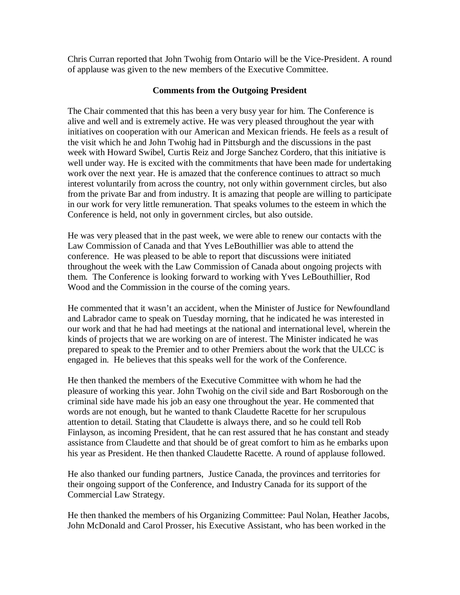Chris Curran reported that John Twohig from Ontario will be the Vice-President. A round of applause was given to the new members of the Executive Committee.

### **Comments from the Outgoing President**

The Chair commented that this has been a very busy year for him. The Conference is alive and well and is extremely active. He was very pleased throughout the year with initiatives on cooperation with our American and Mexican friends. He feels as a result of the visit which he and John Twohig had in Pittsburgh and the discussions in the past week with Howard Swibel, Curtis Reiz and Jorge Sanchez Cordero, that this initiative is well under way. He is excited with the commitments that have been made for undertaking work over the next year. He is amazed that the conference continues to attract so much interest voluntarily from across the country, not only within government circles, but also from the private Bar and from industry. It is amazing that people are willing to participate in our work for very little remuneration. That speaks volumes to the esteem in which the Conference is held, not only in government circles, but also outside.

He was very pleased that in the past week, we were able to renew our contacts with the Law Commission of Canada and that Yves LeBouthillier was able to attend the conference. He was pleased to be able to report that discussions were initiated throughout the week with the Law Commission of Canada about ongoing projects with them. The Conference is looking forward to working with Yves LeBouthillier, Rod Wood and the Commission in the course of the coming years.

He commented that it wasn't an accident, when the Minister of Justice for Newfoundland and Labrador came to speak on Tuesday morning, that he indicated he was interested in our work and that he had had meetings at the national and international level, wherein the kinds of projects that we are working on are of interest. The Minister indicated he was prepared to speak to the Premier and to other Premiers about the work that the ULCC is engaged in. He believes that this speaks well for the work of the Conference.

He then thanked the members of the Executive Committee with whom he had the pleasure of working this year. John Twohig on the civil side and Bart Rosborough on the criminal side have made his job an easy one throughout the year. He commented that words are not enough, but he wanted to thank Claudette Racette for her scrupulous attention to detail. Stating that Claudette is always there, and so he could tell Rob Finlayson, as incoming President, that he can rest assured that he has constant and steady assistance from Claudette and that should be of great comfort to him as he embarks upon his year as President. He then thanked Claudette Racette. A round of applause followed.

He also thanked our funding partners, Justice Canada, the provinces and territories for their ongoing support of the Conference, and Industry Canada for its support of the Commercial Law Strategy.

He then thanked the members of his Organizing Committee: Paul Nolan, Heather Jacobs, John McDonald and Carol Prosser, his Executive Assistant, who has been worked in the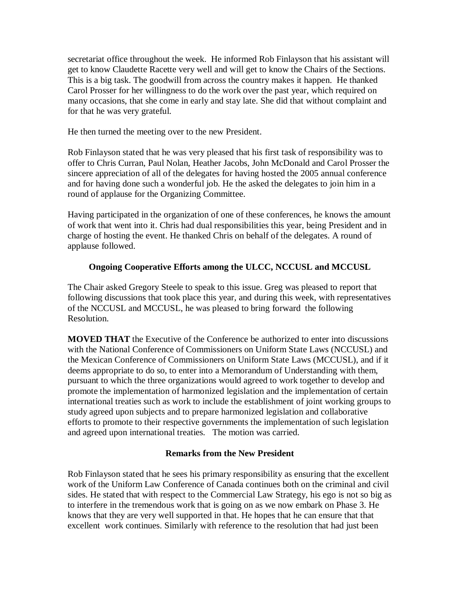secretariat office throughout the week. He informed Rob Finlayson that his assistant will get to know Claudette Racette very well and will get to know the Chairs of the Sections. This is a big task. The goodwill from across the country makes it happen. He thanked Carol Prosser for her willingness to do the work over the past year, which required on many occasions, that she come in early and stay late. She did that without complaint and for that he was very grateful.

He then turned the meeting over to the new President.

Rob Finlayson stated that he was very pleased that his first task of responsibility was to offer to Chris Curran, Paul Nolan, Heather Jacobs, John McDonald and Carol Prosser the sincere appreciation of all of the delegates for having hosted the 2005 annual conference and for having done such a wonderful job. He the asked the delegates to join him in a round of applause for the Organizing Committee.

Having participated in the organization of one of these conferences, he knows the amount of work that went into it. Chris had dual responsibilities this year, being President and in charge of hosting the event. He thanked Chris on behalf of the delegates. A round of applause followed.

### **Ongoing Cooperative Efforts among the ULCC, NCCUSL and MCCUSL**

The Chair asked Gregory Steele to speak to this issue. Greg was pleased to report that following discussions that took place this year, and during this week, with representatives of the NCCUSL and MCCUSL, he was pleased to bring forward the following Resolution.

**MOVED THAT** the Executive of the Conference be authorized to enter into discussions with the National Conference of Commissioners on Uniform State Laws (NCCUSL) and the Mexican Conference of Commissioners on Uniform State Laws (MCCUSL), and if it deems appropriate to do so, to enter into a Memorandum of Understanding with them, pursuant to which the three organizations would agreed to work together to develop and promote the implementation of harmonized legislation and the implementation of certain international treaties such as work to include the establishment of joint working groups to study agreed upon subjects and to prepare harmonized legislation and collaborative efforts to promote to their respective governments the implementation of such legislation and agreed upon international treaties. The motion was carried.

### **Remarks from the New President**

Rob Finlayson stated that he sees his primary responsibility as ensuring that the excellent work of the Uniform Law Conference of Canada continues both on the criminal and civil sides. He stated that with respect to the Commercial Law Strategy, his ego is not so big as to interfere in the tremendous work that is going on as we now embark on Phase 3. He knows that they are very well supported in that. He hopes that he can ensure that that excellent work continues. Similarly with reference to the resolution that had just been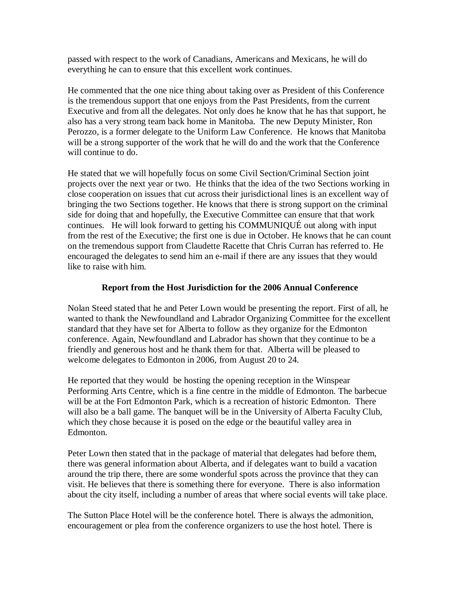passed with respect to the work of Canadians, Americans and Mexicans, he will do everything he can to ensure that this excellent work continues.

He commented that the one nice thing about taking over as President of this Conference is the tremendous support that one enjoys from the Past Presidents, from the current Executive and from all the delegates. Not only does he know that he has that support, he also has a very strong team back home in Manitoba. The new Deputy Minister, Ron Perozzo, is a former delegate to the Uniform Law Conference. He knows that Manitoba will be a strong supporter of the work that he will do and the work that the Conference will continue to do.

He stated that we will hopefully focus on some Civil Section/Criminal Section joint projects over the next year or two. He thinks that the idea of the two Sections working in close cooperation on issues that cut across their jurisdictional lines is an excellent way of bringing the two Sections together. He knows that there is strong support on the criminal side for doing that and hopefully, the Executive Committee can ensure that that work continues. He will look forward to getting his COMMUNIQUÉ out along with input from the rest of the Executive; the first one is due in October. He knows that he can count on the tremendous support from Claudette Racette that Chris Curran has referred to. He encouraged the delegates to send him an e-mail if there are any issues that they would like to raise with him.

# **Report from the Host Jurisdiction for the 2006 Annual Conference**

Nolan Steed stated that he and Peter Lown would be presenting the report. First of all, he wanted to thank the Newfoundland and Labrador Organizing Committee for the excellent standard that they have set for Alberta to follow as they organize for the Edmonton conference. Again, Newfoundland and Labrador has shown that they continue to be a friendly and generous host and he thank them for that. Alberta will be pleased to welcome delegates to Edmonton in 2006, from August 20 to 24.

He reported that they would be hosting the opening reception in the Winspear Performing Arts Centre, which is a fine centre in the middle of Edmonton. The barbecue will be at the Fort Edmonton Park, which is a recreation of historic Edmonton. There will also be a ball game. The banquet will be in the University of Alberta Faculty Club, which they chose because it is posed on the edge or the beautiful valley area in Edmonton.

Peter Lown then stated that in the package of material that delegates had before them, there was general information about Alberta, and if delegates want to build a vacation around the trip there, there are some wonderful spots across the province that they can visit. He believes that there is something there for everyone. There is also information about the city itself, including a number of areas that where social events will take place.

The Sutton Place Hotel will be the conference hotel. There is always the admonition, encouragement or plea from the conference organizers to use the host hotel. There is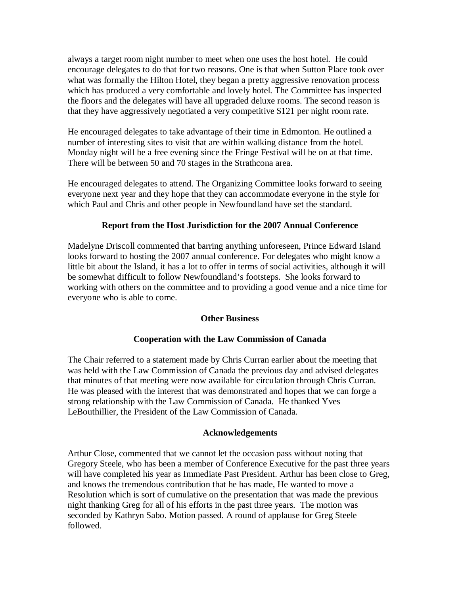always a target room night number to meet when one uses the host hotel. He could encourage delegates to do that for two reasons. One is that when Sutton Place took over what was formally the Hilton Hotel, they began a pretty aggressive renovation process which has produced a very comfortable and lovely hotel. The Committee has inspected the floors and the delegates will have all upgraded deluxe rooms. The second reason is that they have aggressively negotiated a very competitive \$121 per night room rate.

He encouraged delegates to take advantage of their time in Edmonton. He outlined a number of interesting sites to visit that are within walking distance from the hotel. Monday night will be a free evening since the Fringe Festival will be on at that time. There will be between 50 and 70 stages in the Strathcona area.

He encouraged delegates to attend. The Organizing Committee looks forward to seeing everyone next year and they hope that they can accommodate everyone in the style for which Paul and Chris and other people in Newfoundland have set the standard.

## **Report from the Host Jurisdiction for the 2007 Annual Conference**

Madelyne Driscoll commented that barring anything unforeseen, Prince Edward Island looks forward to hosting the 2007 annual conference. For delegates who might know a little bit about the Island, it has a lot to offer in terms of social activities, although it will be somewhat difficult to follow Newfoundland's footsteps. She looks forward to working with others on the committee and to providing a good venue and a nice time for everyone who is able to come.

### **Other Business**

# **Cooperation with the Law Commission of Canada**

The Chair referred to a statement made by Chris Curran earlier about the meeting that was held with the Law Commission of Canada the previous day and advised delegates that minutes of that meeting were now available for circulation through Chris Curran. He was pleased with the interest that was demonstrated and hopes that we can forge a strong relationship with the Law Commission of Canada. He thanked Yves LeBouthillier, the President of the Law Commission of Canada.

### **Acknowledgements**

Arthur Close, commented that we cannot let the occasion pass without noting that Gregory Steele, who has been a member of Conference Executive for the past three years will have completed his year as Immediate Past President. Arthur has been close to Greg, and knows the tremendous contribution that he has made, He wanted to move a Resolution which is sort of cumulative on the presentation that was made the previous night thanking Greg for all of his efforts in the past three years. The motion was seconded by Kathryn Sabo. Motion passed. A round of applause for Greg Steele followed.